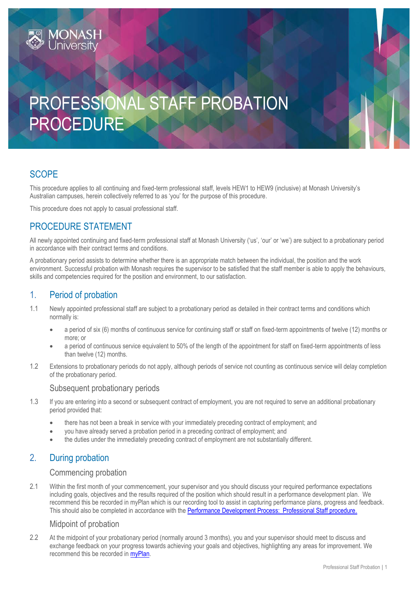# PROFESSIONAL STAFF PROBATION PROCEDURE

# **SCOPE**

This procedure applies to all continuing and fixed-term professional staff, levels HEW1 to HEW9 (inclusive) at Monash University's Australian campuses, herein collectively referred to as 'you' for the purpose of this procedure.

This procedure does not apply to casual professional staff.

## PROCEDURE STATEMENT

All newly appointed continuing and fixed-term professional staff at Monash University ('us', 'our' or 'we') are subject to a probationary period in accordance with their contract terms and conditions.

A probationary period assists to determine whether there is an appropriate match between the individual, the position and the work environment. Successful probation with Monash requires the supervisor to be satisfied that the staff member is able to apply the behaviours, skills and competencies required for the position and environment, to our satisfaction.

### 1. Period of probation

- 1.1 Newly appointed professional staff are subject to a probationary period as detailed in their contract terms and conditions which normally is:
	- a period of six (6) months of continuous service for continuing staff or staff on fixed-term appointments of twelve (12) months or more; or
	- a period of continuous service equivalent to 50% of the length of the appointment for staff on fixed-term appointments of less than twelve (12) months.
- 1.2 Extensions to probationary periods do not apply, although periods of service not counting as continuous service will delay completion of the probationary period.

#### Subsequent probationary periods

- 1.3 If you are entering into a second or subsequent contract of employment, you are not required to serve an additional probationary period provided that:
	- there has not been a break in service with your immediately preceding contract of employment; and
	- you have already served a probation period in a preceding contract of employment; and
	- the duties under the immediately preceding contract of employment are not substantially different.

## 2. During probation

#### Commencing probation

2.1 Within the first month of your commencement, your supervisor and you should discuss your required performance expectations including goals, objectives and the results required of the position which should result in a performance development plan. We recommend this be recorded in myPlan which is our recording tool to assist in capturing performance plans, progress and feedback. This should also be completed in accordance with the [Performance Development Process: Professional Staff procedure.](https://publicpolicydms.monash.edu/Monash/documents/1935712)

#### Midpoint of probation

2.2 At the midpoint of your probationary period (normally around 3 months), you and your supervisor should meet to discuss and exchange feedback on your progress towards achieving your goals and objectives, highlighting any areas for improvement. We recommend this be recorded in [myPlan.](https://www.intranet.monash/hr/tools-and-resources/staff-resources/performance-development)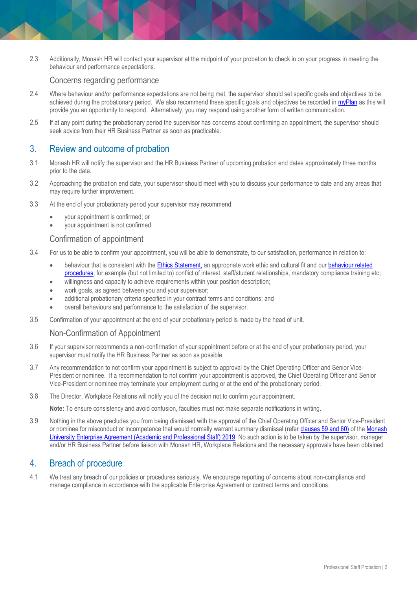2.3 Additionally, Monash HR will contact your supervisor at the midpoint of your probation to check in on your progress in meeting the behaviour and performance expectations.

#### Concerns regarding performance

- 2.4 Where behaviour and/or performance expectations are not being met, the supervisor should set specific goals and objectives to be achieved during the probationary period. We also recommend these specific goals and objectives be recorded in [myPlan](https://www.intranet.monash/hr/tools-and-resources/staff-resources/performance-development) as this will provide you an opportunity to respond. Alternatively, you may respond using another form of written communication.
- 2.5 If at any point during the probationary period the supervisor has concerns about confirming an appointment, the supervisor should seek advice from their HR Business Partner as soon as practicable.

#### 3. Review and outcome of probation

- 3.1 Monash HR will notify the supervisor and the HR Business Partner of upcoming probation end dates approximately three months prior to the date.
- 3.2 Approaching the probation end date, your supervisor should meet with you to discuss your performance to date and any areas that may require further improvement.
- 3.3 At the end of your probationary period your supervisor may recommend:
	- your appointment is confirmed; or
	- your appointment is not confirmed.

#### Confirmation of appointment

- 3.4 For us to be able to confirm your appointment, you will be able to demonstrate, to our satisfaction, performance in relation to:
	- . behaviour that is consistent with th[e Ethics Statement,](https://publicpolicydms.monash.edu/Monash/documents/1935683) an appropriate work ethic and cultural fit and our behaviour related [procedures,](https://www.monash.edu/policy-bank/workplace-policy/integrity-and-respect) for example (but not limited to) conflict of interest, staff/student relationships, mandatory compliance training etc;
	- willingness and capacity to achieve requirements within your position description;
	- work goals, as agreed between you and your supervisor;
	- additional probationary criteria specified in your contract terms and conditions; and
	- overall behaviours and performance to the satisfaction of the supervisor.
- 3.5 Confirmation of your appointment at the end of your probationary period is made by the head of unit.

#### Non-Confirmation of Appointment

- 3.6 If your supervisor recommends a non-confirmation of your appointment before or at the end of your probationary period, your supervisor must notify the HR Business Partner as soon as possible.
- 3.7 Any recommendation to not confirm your appointment is subject to approval by the Chief Operating Officer and Senior Vice-President or nominee. If a recommendation to not confirm your appointment is approved, the Chief Operating Officer and Senior Vice-President or nominee may terminate your employment during or at the end of the probationary period.
- 3.8 The Director, Workplace Relations will notify you of the decision not to confirm your appointment.

**Note:** To ensure consistency and avoid confusion, faculties must not make separate notifications in writing.

3.9 Nothing in the above precludes you from being dismissed with the approval of the Chief Operating Officer and Senior Vice-President or nominee for misconduct or incompetence that would normally warrant summary dismissal (refer clauses [59](https://www.monash.edu/current-enterprise-agreements/academic-professional-2019#59) an[d 60\)](https://www.monash.edu/current-enterprise-agreements/academic-professional-2019#60) of th[e Monash](https://www.monash.edu/current-enterprise-agreements/academic-professional-2019)  University [Enterprise Agreement \(Academic and Professional Staff\) 2019](https://www.monash.edu/current-enterprise-agreements/academic-professional-2019). No such action is to be taken by the supervisor, manager and/or HR Business Partner before liaison with Monash HR, Workplace Relations and the necessary approvals have been obtained

#### 4. Breach of procedure

4.1 We treat any breach of our policies or procedures seriously. We encourage reporting of concerns about non-compliance and manage compliance in accordance with the applicable Enterprise Agreement or contract terms and conditions.